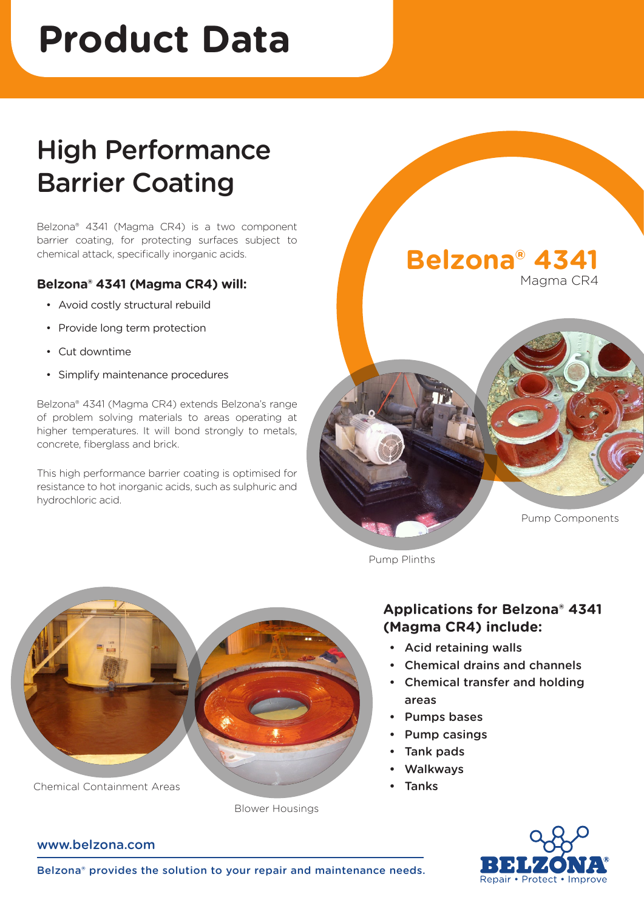# **Product Data**

# High Performance Barrier Coating

Belzona® 4341 (Magma CR4) is a two component barrier coating, for protecting surfaces subject to chemical attack, specifically inorganic acids.

## **Belzona® 4341 (Magma CR4) will:**

- • Avoid costly structural rebuild
- Provide long term protection
- Cut downtime
- Simplify maintenance procedures

Belzona® 4341 (Magma CR4) extends Belzona's range of problem solving materials to areas operating at higher temperatures. It will bond strongly to metals, concrete, fiberglass and brick.

This high performance barrier coating is optimised for resistance to hot inorganic acids, such as sulphuric and hydrochloric acid.



Pump Plinths

# **Applications for Belzona® 4341 (Magma CR4) include:**

- Acid retaining walls
- Chemical drains and channels
- Chemical transfer and holding areas
- Pumps bases
- Pump casings
- Tank pads
- Walkways
- Tanks



Chemical Containment Areas

### www.belzona.com

Belzona® provides the solution to your repair and maintenance needs.

Blower Housings